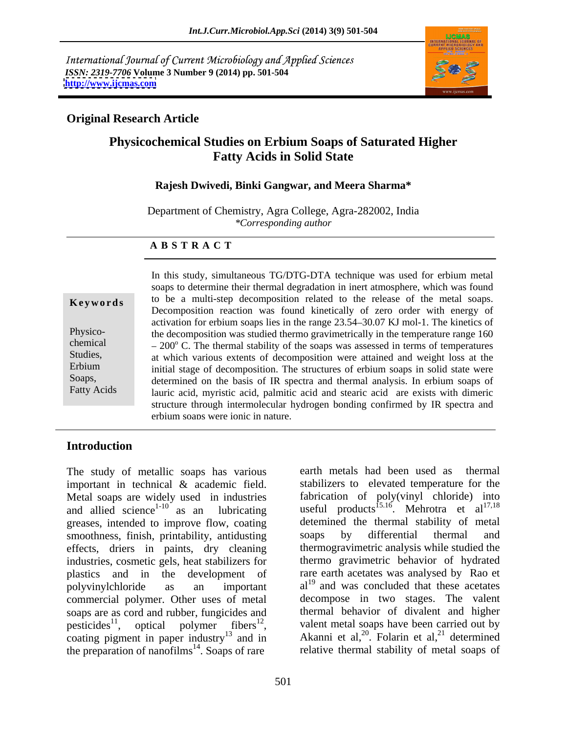International Journal of Current Microbiology and Applied Sciences *ISSN: 2319-7706* **Volume 3 Number 9 (2014) pp. 501-504 <http://www.ijcmas.com>**



# **Original Research Article**

# **Physicochemical Studies on Erbium Soaps of Saturated Higher Fatty Acids in Solid State**

### **Rajesh Dwivedi, Binki Gangwar, and Meera Sharma\***

Department of Chemistry, Agra College, Agra-282002, India *\*Corresponding author* 

### **A B S T R A C T**

**Keywords** to be a multi-step decomposition related to the release of the metal soaps. Physico-<br>the decomposition was studied thermo gravimetrically in the temperature range 160 chemical  $-200^{\circ}$  C. The thermal stability of the soaps was assessed in terms of temperatures Studies, at which various extents of decomposition were attained and weight loss at the Erbium initial stage of decomposition. The structures of erbium soaps in solid state were Soaps, determined on the basis of IR spectra and thermal analysis. In erbium soaps of Fatty Acids lauric acid, myristic acid, palmitic acid and stearic acid are exists with dimeric In this study, simultaneous TG/DTG-DTA technique was used for erbium metal soaps to determine their thermal degradation in inert atmosphere, which was found Decomposition reaction was found kinetically of zero order with energy of activation for erbium soaps lies in the range 23.54 30.07 KJ mol-1. The kinetics of structure through intermolecular hydrogen bonding confirmed by IR spectra and erbium soaps were ionic in nature.

## **Introduction**

The study of metallic soaps has various earth metals had been used as thermal important in technical & academic field. Metal soaps are widely used in industries fabrication of poly(vinyl chloride) into and allied science<sup>1-10</sup> as an lubricating useful products<sup>15.16</sup>. Mehrotra et al<sup>17,18</sup> greases, intended to improve flow, coating detemined the thermal stability of smoothness. finish, printability, antidusting soaps by differential thermal smoothness, finish, printability, antidusting soaps by differential thermal and effects, driers in paints, dry cleaning industries, cosmetic gels, heat stabilizers for plastics and in the development of polyvinylchloride as an important al<sup>19</sup> and was concluded that these acetates commercial polymer. Other uses of metal soaps are as cord and rubber, fungicides and thermal behavior of divalent and higher pesticides<sup>11</sup>, optical polymer fibers<sup>12</sup>, valent metal soaps have been carried out by pesticides<sup>11</sup>, optical polymer fibers<sup>12</sup>, valent metal soaps have been carried out by coating pigment in paper industry<sup>13</sup> and in Akanni et al,<sup>20</sup>. Folarin et al,<sup>21</sup> determined the preparation of nanofilms<sup>14</sup>. Soaps of rare

earth metals had been used as stabilizers to elevated temperature for the detemined the thermal stability of metal soaps by differential thermal and thermogravimetric analysis while studied the thermo gravimetric behavior of hydrated rare earth acetates was analysed by Rao et decompose in two stages. The valent relative thermal stability of metal soaps of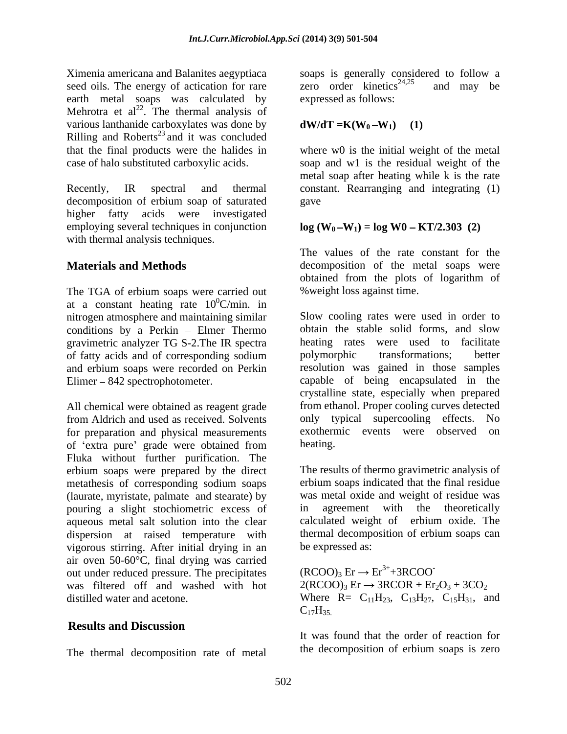seed oils. The energy of actication for rare zero order kinetics<sup>24,25</sup> and may be earth metal soaps was calculated by Mehrotra et  $al^{22}$ . The thermal analysis of various lanthanide carboxylates was done by  $dW/dT = K(W_0 - W_1)$  (1) Rilling and Roberts<sup>23</sup> and it was concluded that the final products were the halides in and it was concluded

decomposition of erbium soap of saturated higher fatty acids were investigated employing several techniques in conjunction  $log(W_0-W_1) = log W_0 - KT/2.303$  (2) with thermal analysis techniques.

The TGA of erbium soaps were carried out at a constant heating rate  $10^{\circ}$ C/min. in  ${}^{0}C/\text{min.}$  in nitrogen atmosphere and maintaining similar conditions by a Perkin  $-$  Elmer Thermo gravimetric analyzer TG S-2. The IR spectra beating rates were used to facilitate of factive acids and of corresponding sodium polymorphic transformations; better of fatty acids and of corresponding sodium and erbium soaps were recorded on Perkin

All chemical were obtained as reagent grade from Aldrich and used as received. Solvents for preparation and physical measurements of 'extra pure' grade were obtained from heating. Fluka without further purification. The erbium soaps were prepared by the direct metathesis of corresponding sodium soaps (laurate, myristate, palmate and stearate) by pouring a slight stochiometric excess of aqueous metal salt solution into the clear dispersion at raised temperature with vigorous stirring. After initial drying in an air oven 50-60°C, final drying was carried out under reduced pressure. The precipitates was filtered off and washed with hot

# **Results and Discussion**

The thermal decomposition rate of metal

Ximenia americana and Balanites aegyptiaca soaps is generally considered to follow a zero order kinetics<sup>24,25</sup>  $24,25$  and may be and may be expressed as follows:

### $dW/dT = K(W_0 - W_1)$

that the final products were the halides in where w0 is the initial weight of the metal case of halo substituted carboxylic acids. soap and w1 is the residual weight of the Recently, IR spectral and thermal constant. Rearranging and integrating (1) metal soap after heating while k is the rate gave **gave** 

**Materials and Methods** decomposition of the metal soaps were The values of the rate constant for the obtained from the plots of logarithm of %weight loss against time.

Elimer – 842 spectrophotometer.  $capable$  of being encapsulated in the Slow cooling rates were used in order to obtain the stable solid forms, and slow heating rates were used to facilitate polymorphic transformations; better resolution was gained in those samples crystalline state, especially when prepared from ethanol. Proper cooling curves detected only typical supercooling effects. exothermic events were observed on heating.

> The results of thermo gravimetric analysis of erbium soaps indicated that the final residue was metal oxide and weight of residue was agreement with the theoretically calculated weight of erbium oxide. The thermal decomposition of erbium soaps can be expressed as:

distilled water and acetone. Where  $R = C_{11}H_{23}$ ,  $C_{13}H_{27}$ ,  $C_{15}H_{31}$ , and  $(RCOO)$ <sub>3</sub> Er  $\rightarrow$  Er<sup>3+</sup>+3RCOO<sup>-</sup>  $2(RCOO)_3 \text{ Er} \rightarrow 3RCOR + \text{Er}_2\text{O}_3 + 3CO_2$  $C_{17}H_{35.}$ 

> It was found that the order of reaction for the decomposition of erbium soaps is zero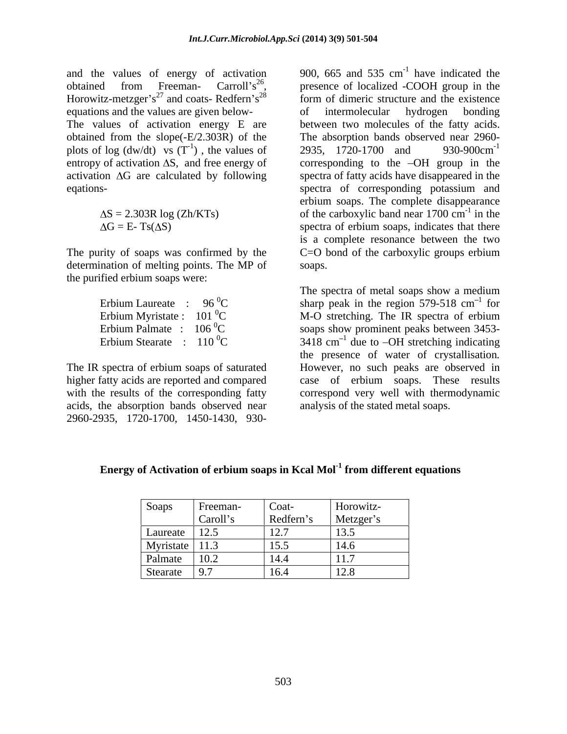and the values of energy of activation  $900, 665$  and  $535 \text{ cm}^{-1}$  have indicated the Horowitz-metzger's<sup>27</sup> and coats- Redfern's<sup>28</sup> equations and the values are given below-<br>of intermolecular hydrogen bonding plots of log (dw/dt) vs  $(T^{-1})$ , the values of 2935, 1720-1700 and 930-900cm<sup>-1</sup>

$$
\Delta S = 2.303R \log (Zh/KTs)
$$
  

$$
\Delta G = E - Ts(\Delta S)
$$

determination of melting points. The MP of soaps. the purified erbium soaps were:

| Erbium Laureate    |           | $96\,^0C$       |
|--------------------|-----------|-----------------|
| Erbium Myristate : |           | $101\text{ °C}$ |
| Erbium Palmate :   |           | $106\text{ °C}$ |
| Erbium Stearate    | $\bullet$ | $110^{0}$ C     |

higher fatty acids are reported and compared with the results of the corresponding fatty acids, the absorption bands observed near

obtained from Freeman- Carroll's<sup>26</sup>, presence of localized -COOH group in the and coats- Redfern's<sup>28</sup> form of dimeric structure and the existence The values of activation energy E are between two molecules of the fatty acids. obtained from the slope(-E/2.303R) of the The absorption bands observed near 2960-  $^{1}$ ), the values of 2935, 1720-1700 and 930-900cm<sup>-1</sup> entropy of activation  $\Delta S$ , and free energy of corresponding to the  $-OH$  group in the  $\alpha$  activation  $\Delta G$  are calculated by following spectra of fatty acids have disappeared in the eqations-<br>
equations-<br>  $\Delta S = 2.303R \log (Zh/KTs)$ <br>  $\Delta S = 2.303R \log (Zh/KTs)$ <br>
of the carboxylic band near 1700 cm<sup>-1</sup> in the  $G = E - Ts(\Delta S)$  spectra of erbium soaps, indicates that there The purity of soaps was confirmed by the C=O bond of the carboxylic groups erbium and the values of energy of activation of  $\mu$  and 53 cm <sup>1</sup> have indicated the relations and the values of activation energy  $\mu$ . However, and the existence of lealing the states are given helow.<br>The values of activatio have indicated the of intermolecular hydrogen bonding 2935, 1720-1700 and 930-900 $cm^{-1}$ spectra of corresponding potassium and erbium soaps. The complete disappearance of the carboxylic band near  $1700 \text{ cm}^{-1}$  in the  $^{-1}$  in the in the is a complete resonance between the two soaps.

Erbium Laureate :  $96^{\circ}$ C sharp peak in the region 579-518 cm<sup>-1</sup> for Erbium Myristate :  $101\text{ °C}$  M-O stretching. The IR spectra of erbium Erbium Palmate :  $106\text{ °C}$  soaps show prominent peaks between 3453-Erbium Stearate :  $110\,^0\text{C}$  3418 cm<sup>-1</sup> due to -OH stretching indicating The IR spectra of erbium soaps of saturated However, no such peaks are observed in The spectra of metal soaps show a medium  $\frac{1}{2}$  for for due to OH stretching indicating the presence of water of crystallisation*.* case of erbium soaps. These results correspond very well with thermodynamic analysis of the stated metal soaps.

| Soaps     | Freeman- | Coat-                                        | Horowitz-       |
|-----------|----------|----------------------------------------------|-----------------|
|           | Caroll's | Redfern's                                    | Metzger's       |
| Laureate  | 12.5     | $\sim$ $\sim$<br>$\mathbf{1}$ $\mathbf{2}$ . | $\sim$<br>1 J.J |
| Myristate | 11.3     | . <i>.</i> .<br>$\overline{\mathbf{1}}$ .    | 14.U            |
| Palmate   | 10.2     | <b>14.</b>                                   | 11.1            |
| Stearate  | 9.7      | 16.4                                         | $1 \angle 0$    |

**Energy of Activation of erbium soaps in Kcal Mol-1 from different equations**